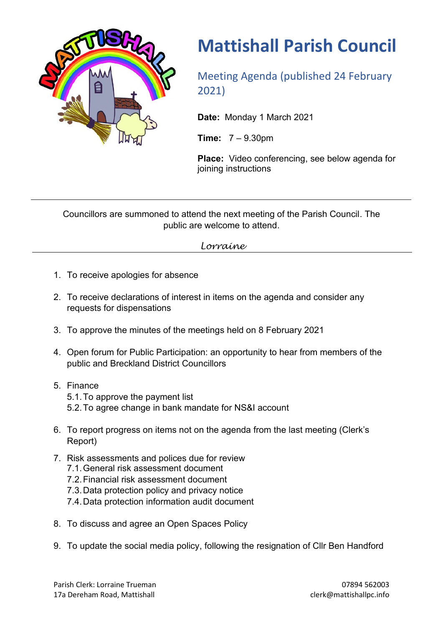

## **Mattishall Parish Council**

Meeting Agenda (published 24 February 2021)

**Date:** Monday 1 March 2021

**Time:** 7 – 9.30pm

**Place:** Video conferencing, see below agenda for joining instructions

Councillors are summoned to attend the next meeting of the Parish Council. The public are welcome to attend.

*Lorraine*

- 1. To receive apologies for absence
- 2. To receive declarations of interest in items on the agenda and consider any requests for dispensations
- 3. To approve the minutes of the meetings held on 8 February 2021
- 4. Open forum for Public Participation: an opportunity to hear from members of the public and Breckland District Councillors
- 5. Finance 5.1.To approve the payment list 5.2.To agree change in bank mandate for NS&I account
- 6. To report progress on items not on the agenda from the last meeting (Clerk's Report)
- 7. Risk assessments and polices due for review
	- 7.1.General risk assessment document
	- 7.2.Financial risk assessment document
	- 7.3.Data protection policy and privacy notice
	- 7.4.Data protection information audit document
- 8. To discuss and agree an Open Spaces Policy
- 9. To update the social media policy, following the resignation of Cllr Ben Handford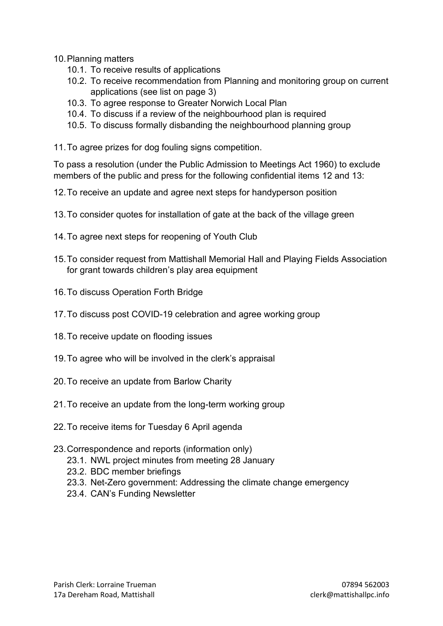10.Planning matters

- 10.1. To receive results of applications
- 10.2. To receive recommendation from Planning and monitoring group on current applications (see list on page 3)
- 10.3. To agree response to Greater Norwich Local Plan
- 10.4. To discuss if a review of the neighbourhood plan is required
- 10.5. To discuss formally disbanding the neighbourhood planning group
- 11.To agree prizes for dog fouling signs competition.

To pass a resolution (under the Public Admission to Meetings Act 1960) to exclude members of the public and press for the following confidential items 12 and 13:

- 12.To receive an update and agree next steps for handyperson position
- 13.To consider quotes for installation of gate at the back of the village green
- 14.To agree next steps for reopening of Youth Club
- 15.To consider request from Mattishall Memorial Hall and Playing Fields Association for grant towards children's play area equipment
- 16.To discuss Operation Forth Bridge
- 17.To discuss post COVID-19 celebration and agree working group
- 18.To receive update on flooding issues
- 19.To agree who will be involved in the clerk's appraisal
- 20.To receive an update from Barlow Charity
- 21.To receive an update from the long-term working group
- 22.To receive items for Tuesday 6 April agenda
- 23.Correspondence and reports (information only)
	- 23.1. NWL project minutes from meeting 28 January
	- 23.2. BDC member briefings
	- 23.3. Net-Zero government: Addressing the climate change emergency
	- 23.4. CAN's Funding Newsletter